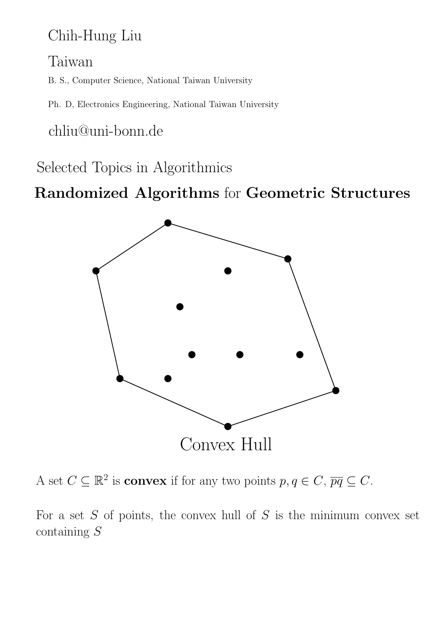## Chih-Hung Liu

Taiwan

B. S., Computer Science, National Taiwan University

Ph. D, Electronics Engineering, National Taiwan University

chliu@uni-bonn.de

Selected Topics in Algorithmics

Randomized Algorithms for Geometric Structures



A set  $C \subseteq \mathbb{R}^2$  is **convex** if for any two points  $p, q \in C$ ,  $\overline{pq} \subseteq C$ .

For a set  $S$  of points, the convex hull of  $S$  is the minimum convex set containing S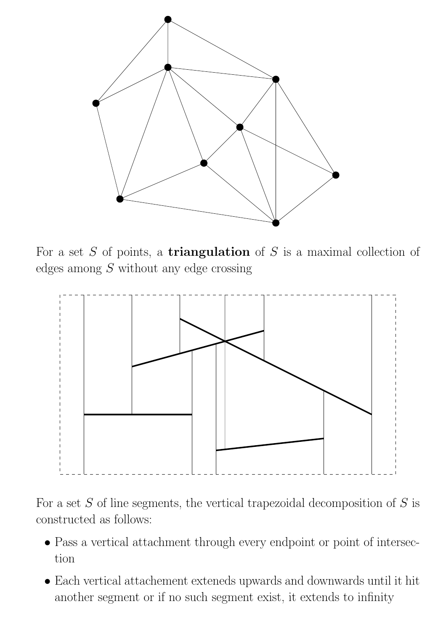

For a set  $S$  of points, a **triangulation** of  $S$  is a maximal collection of edges among  $S$  without any edge crossing



For a set  $S$  of line segments, the vertical trapezoidal decomposition of  $S$  is constructed as follows:

- Pass a vertical attachment through every endpoint or point of intersection
- Each vertical attachement exteneds upwards and downwards until it hit another segment or if no such segment exist, it extends to infinity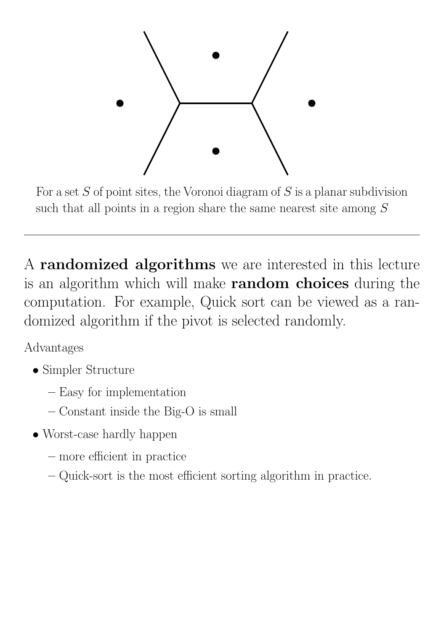

For a set  $S$  of point sites, the Voronoi diagram of  $S$  is a planar subdivision such that all points in a region share the same nearest site among  $S$ 

A randomized algorithms we are interested in this lecture is an algorithm which will make random choices during the computation. For example, Quick sort can be viewed as a randomized algorithm if the pivot is selected randomly.

Advantages

- Simpler Structure
	- Easy for implementation
	- Constant inside the Big-O is small
- Worst-case hardly happen
	- more efficient in practice
	- Quick-sort is the most efficient sorting algorithm in practice.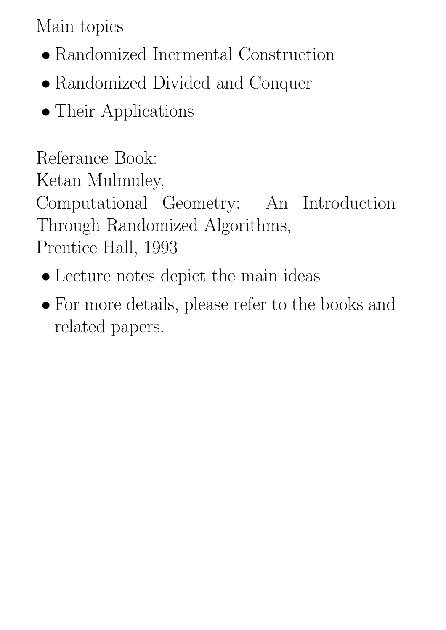Main topics

- Randomized Incrmental Construction
- Randomized Divided and Conquer
- Their Applications

Referance Book: Ketan Mulmuley, Computational Geometry: An Introduction Through Randomized Algorithms, Prentice Hall, 1993

- $\bullet$  Lecture notes depict the main ideas
- For more details, please refer to the books and related papers.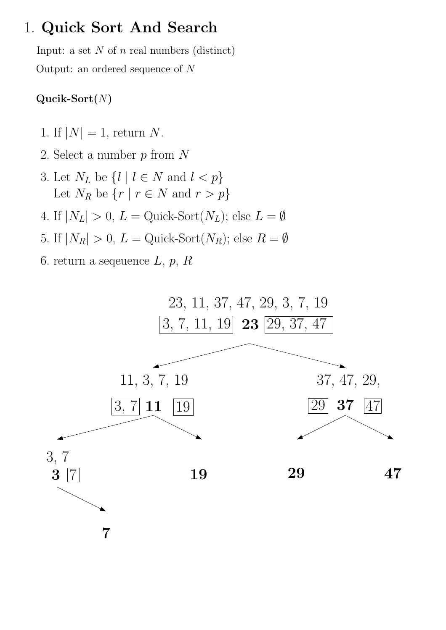## 1. Quick Sort And Search

Input: a set  $N$  of  $n$  real numbers (distinct) Output: an ordered sequence of N

#### $Qucik-Sort(N)$

- 1. If  $|N|=1$ , return N.
- 2. Select a number p from N
- 3. Let  $N_L$  be  $\{l \mid l \in N \text{ and } l < p\}$ Let  $N_R$  be  $\{r \mid r \in N \text{ and } r > p\}$
- 4. If  $|N_L| > 0$ ,  $L =$  Quick-Sort $(N_L)$ ; else  $L = \emptyset$
- 5. If  $|N_R| > 0$ ,  $L = \text{Quick-Sort}(N_R)$ ; else  $R = \emptyset$
- 6. return a sequence  $L, p, R$

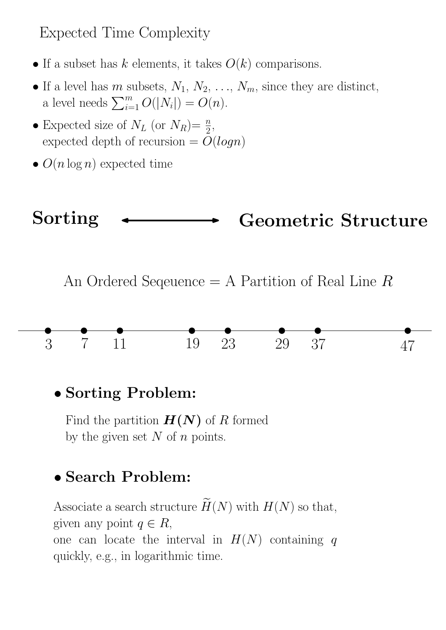Expected Time Complexity

- If a subset has k elements, it takes  $O(k)$  comparisons.
- If a level has m subsets,  $N_1, N_2, \ldots, N_m$ , since they are distinct, a level needs  $\sum_{i=1}^{m} O(|N_i|) = O(n)$ .
- Expected size of  $N_L$  (or  $N_R$ )=  $\frac{n}{2}$ , expected depth of recursion =  $O(logn)$
- $O(n \log n)$  expected time

Sorting  $\leftarrow$  Geometric Structure

An Ordered Sequence  $=$  A Partition of Real Line R



## • Sorting Problem:

Find the partition  $H(N)$  of R formed by the given set  $N$  of  $n$  points.

## • Search Problem:

Associate a search structure  $\widetilde{H}(N)$  with  $H(N)$  so that, given any point  $q \in R$ , one can locate the interval in  $H(N)$  containing q quickly, e.g., in logarithmic time.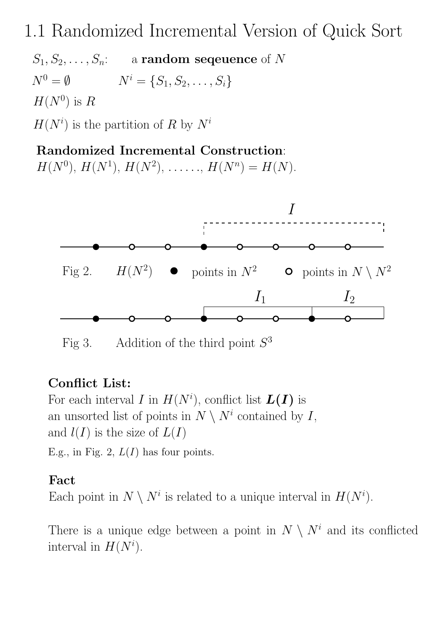# 1.1 Randomized Incremental Version of Quick Sort

 $S_1, S_2, \ldots, S_n$ : a random sequence of N  $N^0 = \emptyset$   $N^i = \{S_1, S_2, \dots, S_i\}$  $H(N^0)$  is R  $H(N^i)$  is the partition of R by  $N^i$ 

## Randomized Incremental Construction:  $H(N^0), H(N^1), H(N^2), \ldots, H(N^n) = H(N).$



Fig 3. Addition of the third point  $S^3$ 

### Conflict List:

For each interval I in  $H(N^i)$ , conflict list  $L(I)$  is an unsorted list of points in  $N \setminus N^i$  contained by I, and  $l(I)$  is the size of  $L(I)$ E.g., in Fig. 2,  $L(I)$  has four points.

#### Fact

Each point in  $N \setminus N^i$  is related to a unique interval in  $H(N^i)$ .

There is a unique edge between a point in  $N \setminus N^i$  and its conflicted interval in  $H(N^i)$ .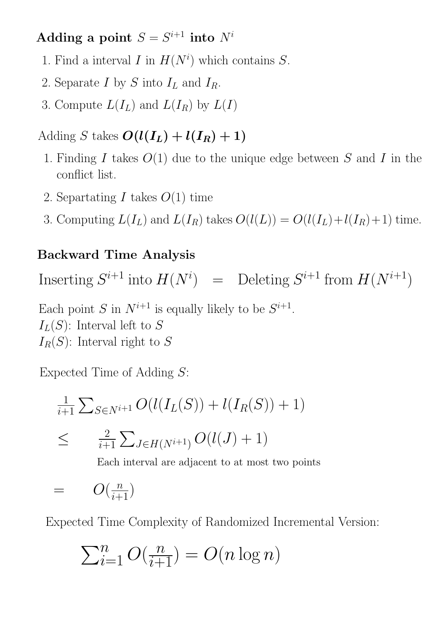Adding a point  $S = S^{i+1}$  into  $N^i$ 

- 1. Find a interval I in  $H(N<sup>i</sup>)$  which contains S.
- 2. Separate I by S into  $I_L$  and  $I_R$ .
- 3. Compute  $L(I_L)$  and  $L(I_R)$  by  $L(I)$

## Adding S takes  $O(l(I_L) + l(I_R) + 1)$

- 1. Finding I takes  $O(1)$  due to the unique edge between S and I in the conflict list.
- 2. Separtating I takes  $O(1)$  time
- 3. Computing  $L(I_L)$  and  $L(I_R)$  takes  $O(l(L)) = O(l(I_L) + l(I_R) + 1)$  time.

### Backward Time Analysis

Inserting  $S^{i+1}$  into  $H(N^i)$  = Deleting  $S^{i+1}$  from  $H(N^{i+1})$ 

Each point S in  $N^{i+1}$  is equally likely to be  $S^{i+1}$ .

 $I_L(S)$ : Interval left to S

 $I_R(S)$ : Interval right to S

Expected Time of Adding S:

$$
\frac{1}{i+1} \sum_{S \in N^{i+1}} O(l(I_L(S)) + l(I_R(S)) + 1)
$$
  
\n
$$
\leq \frac{2}{i+1} \sum_{J \in H(N^{i+1})} O(l(J) + 1)
$$
  
\nEach interval are adjacent to at most two points

Each interval are adjacent to at most two points

$$
= \qquad {\cal O}({n \over i+1})
$$

Expected Time Complexity of Randomized Incremental Version:

$$
\sum_{i=1}^{n} O(\tfrac{n}{i+1}) = O(n \log n)
$$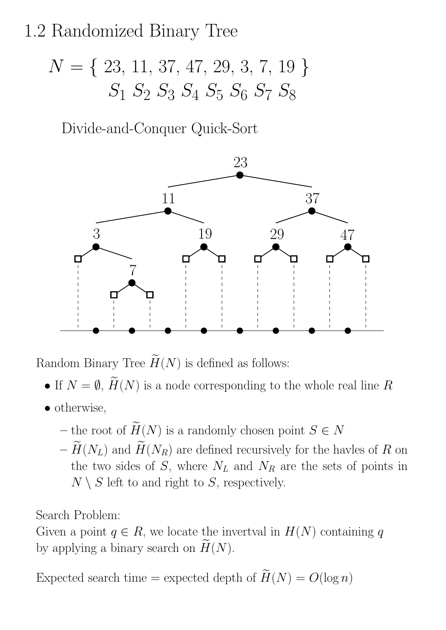# 1.2 Randomized Binary Tree

$$
N = \{ 23, 11, 37, 47, 29, 3, 7, 19 \}
$$

$$
S_1 S_2 S_3 S_4 S_5 S_6 S_7 S_8
$$

Divide-and-Conquer Quick-Sort



Random Binary Tree  $\widetilde{H}(N)$  is defined as follows:

- If  $N = \emptyset$ ,  $\widetilde{H}(N)$  is a node corresponding to the whole real line R
- otherwise,
	- the root of  $\widetilde{H}(N)$  is a randomly chosen point  $S \in N$
	- $-\widetilde{H}(N_L)$  and  $\widetilde{H}(N_R)$  are defined recursively for the havles of R on the two sides of  $S$ , where  $N_L$  and  $N_R$  are the sets of points in  $N \setminus S$  left to and right to S, respectively.

Search Problem:

Given a point  $q \in R$ , we locate the invertval in  $H(N)$  containing q by applying a binary search on  $\widetilde{H}(N)$ .

Expected search time = expected depth of  $H(N) = O(\log n)$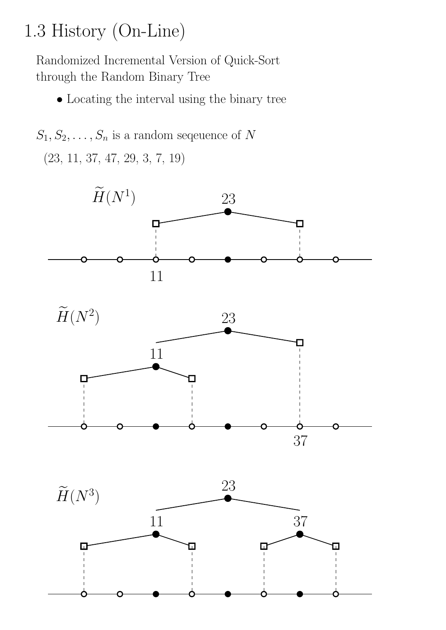# 1.3 History (On-Line)

Randomized Incremental Version of Quick-Sort through the Random Binary Tree

• Locating the interval using the binary tree

 $S_1, S_2, \ldots, S_n$  is a random sequence of N

(23, 11, 37, 47, 29, 3, 7, 19)





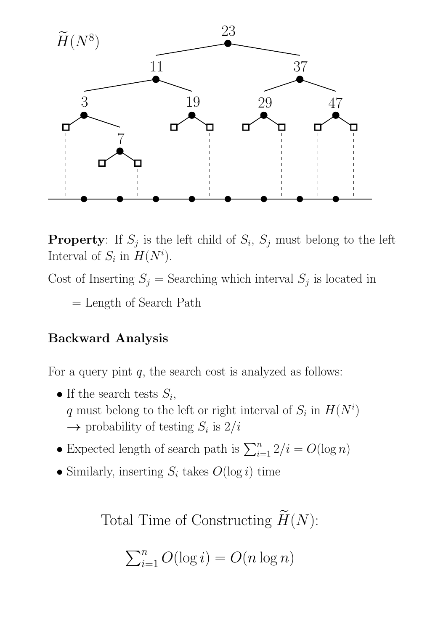

**Property**: If  $S_j$  is the left child of  $S_i$ ,  $S_j$  must belong to the left Interval of  $S_i$  in  $H(N^i)$ .

Cost of Inserting  $S_j$  = Searching which interval  $S_j$  is located in

= Length of Search Path

#### Backward Analysis

For a query pint  $q$ , the search cost is analyzed as follows:

- If the search tests  $S_i$ , q must belong to the left or right interval of  $S_i$  in  $H(N^i)$  $\rightarrow$  probability of testing  $S_i$  is  $2/i$
- Expected length of search path is  $\sum_{i=1}^{n} 2/i = O(\log n)$
- Similarly, inserting  $S_i$  takes  $O(\log i)$  time

Total Time of Constructing  $H(N)$ :

$$
\sum_{i=1}^{n} O(\log i) = O(n \log n)
$$